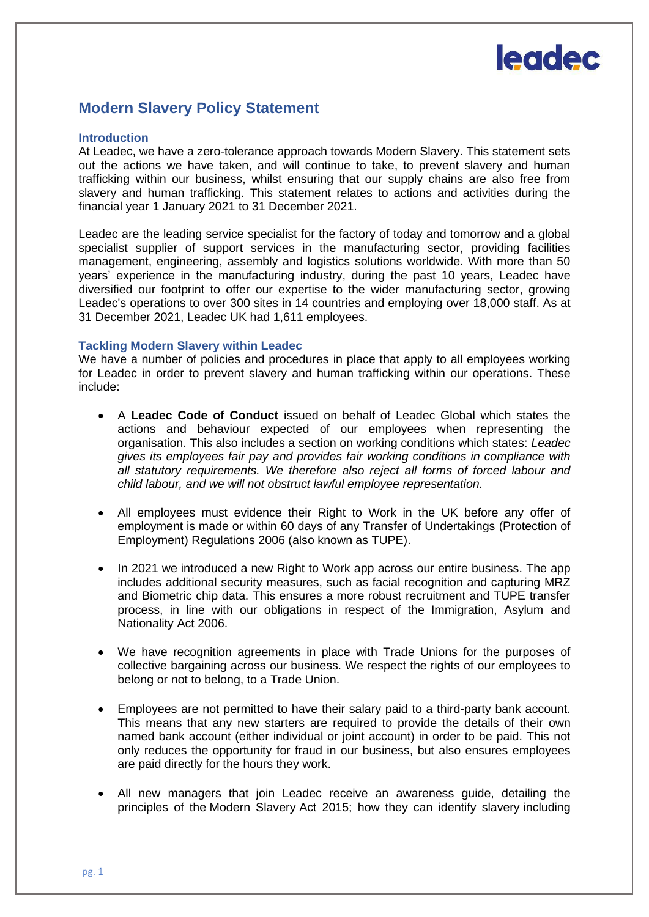

# **Modern Slavery Policy Statement**

#### **Introduction**

At Leadec, we have a zero-tolerance approach towards Modern Slavery. This statement sets out the actions we have taken, and will continue to take, to prevent slavery and human trafficking within our business, whilst ensuring that our supply chains are also free from slavery and human trafficking. This statement relates to actions and activities during the financial year 1 January 2021 to 31 December 2021.

Leadec are the leading service specialist for the factory of today and tomorrow and a global specialist supplier of support services in the manufacturing sector, providing facilities management, engineering, assembly and logistics solutions worldwide. With more than 50 years' experience in the manufacturing industry, during the past 10 years, Leadec have diversified our footprint to offer our expertise to the wider manufacturing sector, growing Leadec's operations to over 300 sites in 14 countries and employing over 18,000 staff. As at 31 December 2021, Leadec UK had 1,611 employees.

### **Tackling Modern Slavery within Leadec**

We have a number of policies and procedures in place that apply to all employees working for Leadec in order to prevent slavery and human trafficking within our operations. These include:

- A **Leadec Code of Conduct** issued on behalf of Leadec Global which states the actions and behaviour expected of our employees when representing the organisation. This also includes a section on working conditions which states: *Leadec gives its employees fair pay and provides fair working conditions in compliance with all statutory requirements. We therefore also reject all forms of forced labour and child labour, and we will not obstruct lawful employee representation.*
- All employees must evidence their Right to Work in the UK before any offer of employment is made or within 60 days of any Transfer of Undertakings (Protection of Employment) Regulations 2006 (also known as TUPE).
- In 2021 we introduced a new Right to Work app across our entire business. The app includes additional security measures, such as facial recognition and capturing MRZ and Biometric chip data. This ensures a more robust recruitment and TUPE transfer process, in line with our obligations in respect of the Immigration, Asylum and Nationality Act 2006.
- We have recognition agreements in place with Trade Unions for the purposes of collective bargaining across our business. We respect the rights of our employees to belong or not to belong, to a Trade Union.
- Employees are not permitted to have their salary paid to a third-party bank account. This means that any new starters are required to provide the details of their own named bank account (either individual or joint account) in order to be paid. This not only reduces the opportunity for fraud in our business, but also ensures employees are paid directly for the hours they work.
- All new managers that join Leadec receive an awareness guide, detailing the principles of the Modern Slavery Act 2015; how they can identify slavery including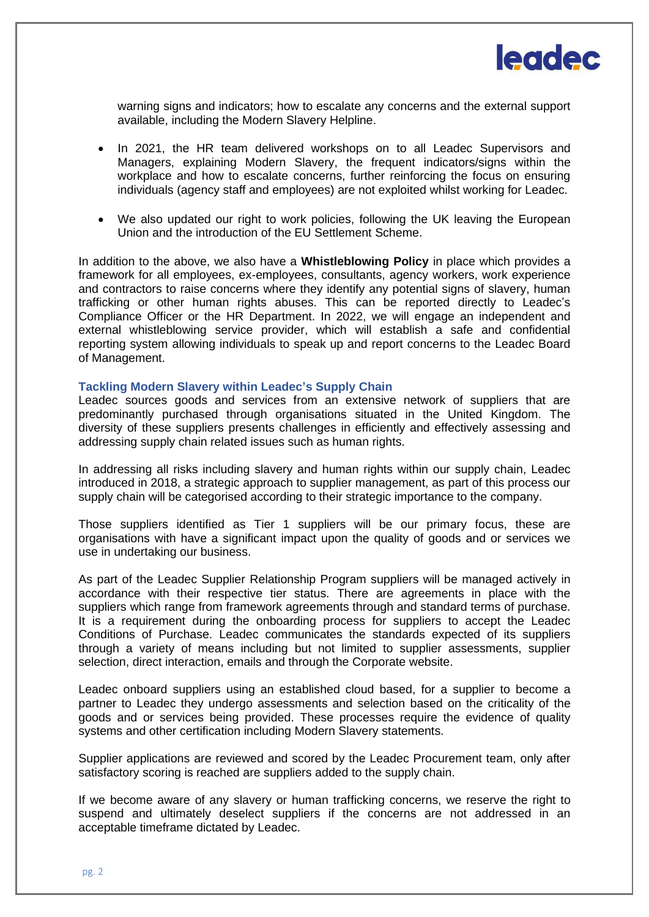

warning signs and indicators; how to escalate any concerns and the external support available, including the Modern Slavery Helpline.

- In 2021, the HR team delivered workshops on to all Leadec Supervisors and Managers, explaining Modern Slavery, the frequent indicators/signs within the workplace and how to escalate concerns, further reinforcing the focus on ensuring individuals (agency staff and employees) are not exploited whilst working for Leadec.
- We also updated our right to work policies, following the UK leaving the European Union and the introduction of the EU Settlement Scheme.

In addition to the above, we also have a **Whistleblowing Policy** in place which provides a framework for all employees, ex-employees, consultants, agency workers, work experience and contractors to raise concerns where they identify any potential signs of slavery, human trafficking or other human rights abuses. This can be reported directly to Leadec's Compliance Officer or the HR Department. In 2022, we will engage an independent and external whistleblowing service provider, which will establish a safe and confidential reporting system allowing individuals to speak up and report concerns to the Leadec Board of Management.

## **Tackling Modern Slavery within Leadec's Supply Chain**

Leadec sources goods and services from an extensive network of suppliers that are predominantly purchased through organisations situated in the United Kingdom. The diversity of these suppliers presents challenges in efficiently and effectively assessing and addressing supply chain related issues such as human rights.

In addressing all risks including slavery and human rights within our supply chain, Leadec introduced in 2018, a strategic approach to supplier management, as part of this process our supply chain will be categorised according to their strategic importance to the company.

Those suppliers identified as Tier 1 suppliers will be our primary focus, these are organisations with have a significant impact upon the quality of goods and or services we use in undertaking our business.

As part of the Leadec Supplier Relationship Program suppliers will be managed actively in accordance with their respective tier status. There are agreements in place with the suppliers which range from framework agreements through and standard terms of purchase. It is a requirement during the onboarding process for suppliers to accept the Leadec Conditions of Purchase. Leadec communicates the standards expected of its suppliers through a variety of means including but not limited to supplier assessments, supplier selection, direct interaction, emails and through the Corporate website.

Leadec onboard suppliers using an established cloud based, for a supplier to become a partner to Leadec they undergo assessments and selection based on the criticality of the goods and or services being provided. These processes require the evidence of quality systems and other certification including Modern Slavery statements.

Supplier applications are reviewed and scored by the Leadec Procurement team, only after satisfactory scoring is reached are suppliers added to the supply chain.

If we become aware of any slavery or human trafficking concerns, we reserve the right to suspend and ultimately deselect suppliers if the concerns are not addressed in an acceptable timeframe dictated by Leadec.